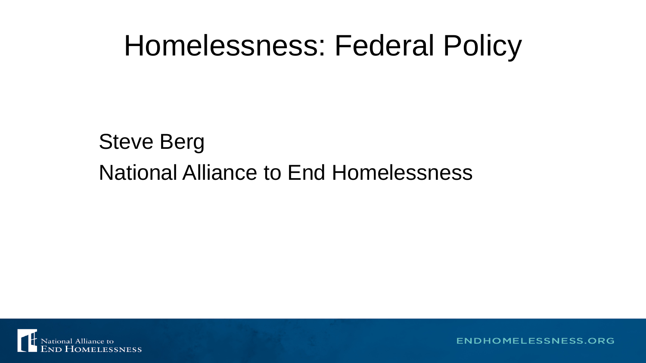#### Steve Berg National Alliance to End Homelessness



ENDHOMELESSNESS.ORG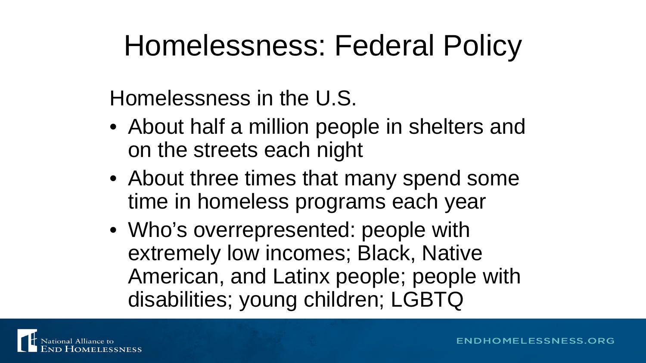Homelessness in the U.S.

- About half a million people in shelters and on the streets each night
- About three times that many spend some time in homeless programs each year
- Who's overrepresented: people with extremely low incomes; Black, Native American, and Latinx people; people with disabilities; young children; LGBTQ

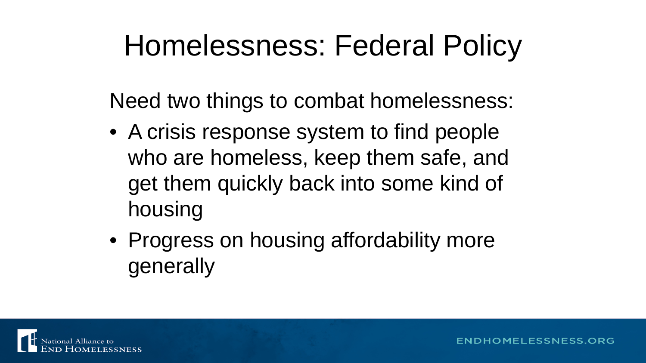Need two things to combat homelessness:

- A crisis response system to find people who are homeless, keep them safe, and get them quickly back into some kind of housing
- Progress on housing affordability more generally

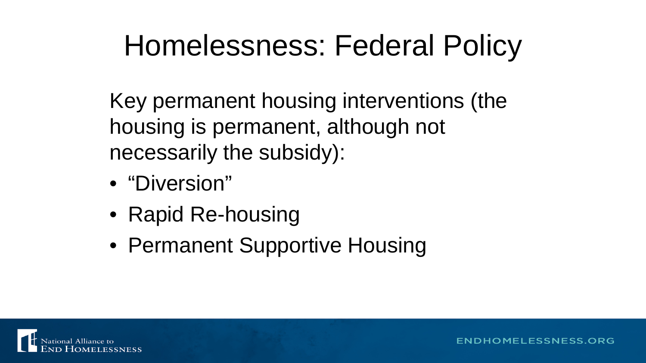Key permanent housing interventions (the housing is permanent, although not necessarily the subsidy):

- "Diversion"
- Rapid Re-housing
- Permanent Supportive Housing

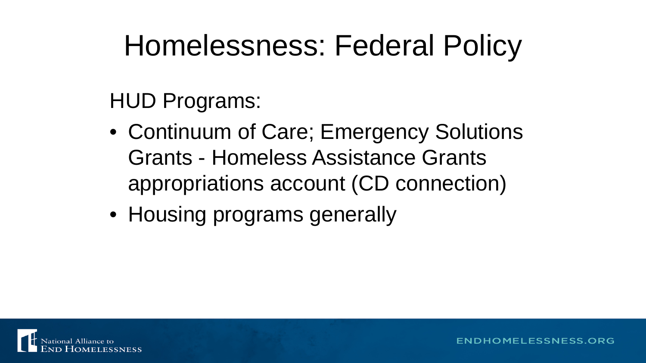HUD Programs:

- Continuum of Care; Emergency Solutions Grants - Homeless Assistance Grants appropriations account (CD connection)
- Housing programs generally

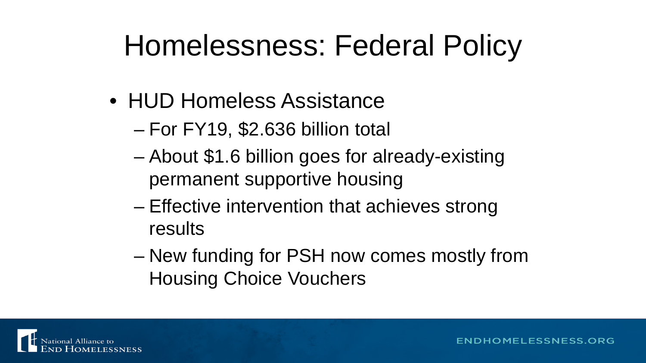- HUD Homeless Assistance
	- For FY19, \$2.636 billion total
	- About \$1.6 billion goes for already-existing permanent supportive housing
	- Effective intervention that achieves strong results
	- New funding for PSH now comes mostly from Housing Choice Vouchers

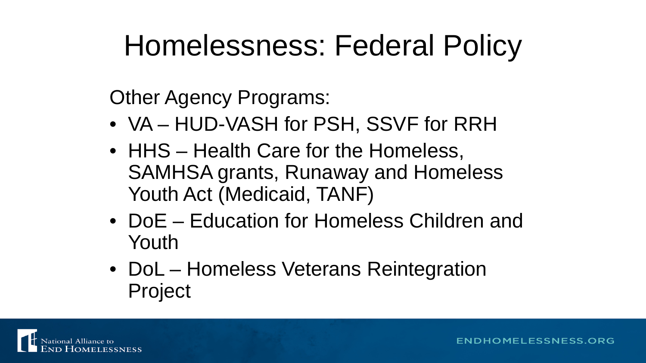Other Agency Programs:

- VA HUD-VASH for PSH, SSVF for RRH
- HHS Health Care for the Homeless, SAMHSA grants, Runaway and Homeless Youth Act (Medicaid, TANF)
- DoE Education for Homeless Children and Youth
- DoL Homeless Veterans Reintegration Project

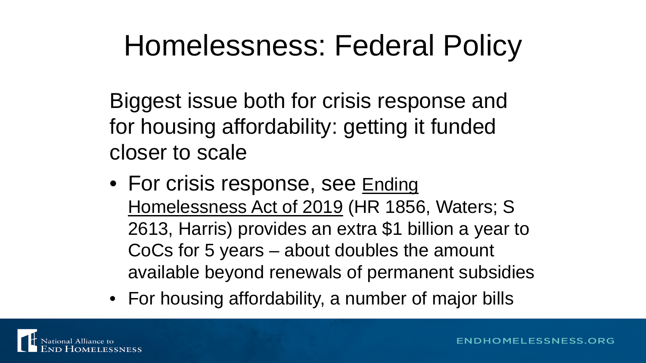Biggest issue both for crisis response and for housing affordability: getting it funded closer to scale

- For crisis response, see Ending Homelessness Act of 2019 (HR 1856, Waters; S 2613, Harris) provides an extra \$1 billion a year to CoCs for 5 years – about doubles the amount available beyond renewals of permanent subsidies
- For housing affordability, a number of major bills

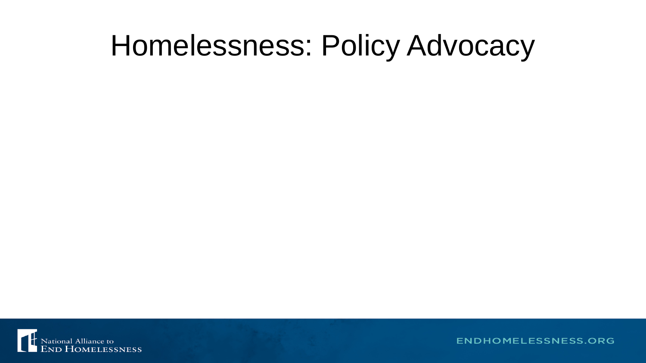

**ENDHOMELESSNESS.ORG**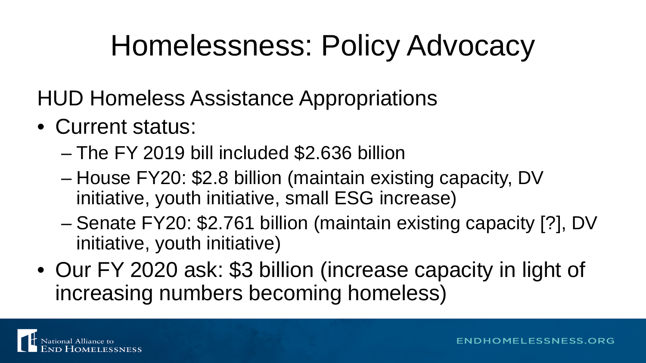HUD Homeless Assistance Appropriations

- Current status:
	- The FY 2019 bill included \$2.636 billion
	- House FY20: \$2.8 billion (maintain existing capacity, DV initiative, youth initiative, small ESG increase)
	- Senate FY20: \$2.761 billion (maintain existing capacity [?], DV initiative, youth initiative)
- Our FY 2020 ask: \$3 billion (increase capacity in light of increasing numbers becoming homeless)

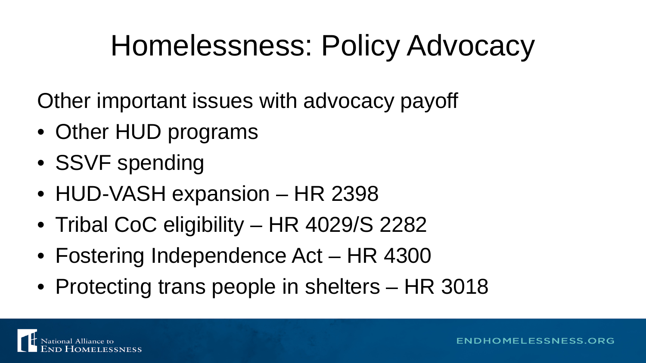Other important issues with advocacy payoff

- Other HUD programs
- SSVF spending
- HUD-VASH expansion HR 2398
- Tribal CoC eligibility HR 4029/S 2282
- Fostering Independence Act HR 4300
- Protecting trans people in shelters HR 3018